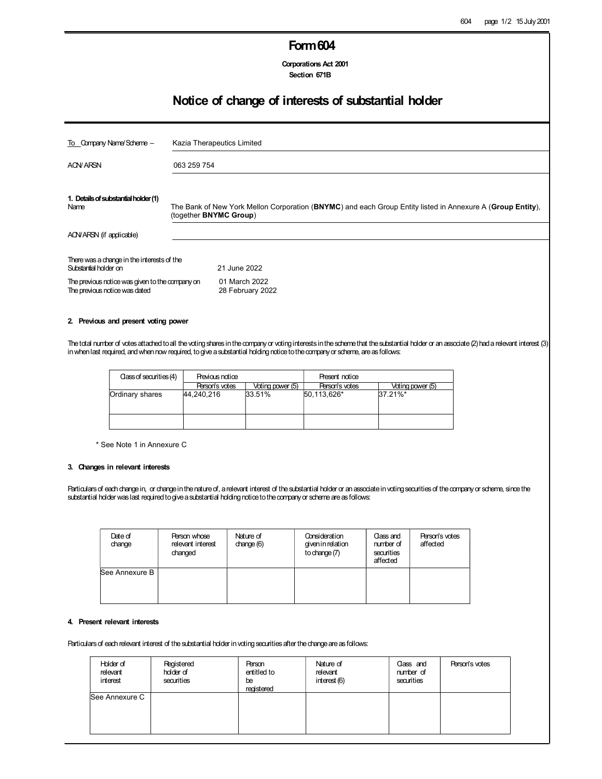## Form604

Corporations Act 2001 Section 671B

## Notice of change of interests of substantial holder

| To Company Name/Scheme -                                                         | Kazia Therapeutics Limited                                                                                                           |                                   |  |  |
|----------------------------------------------------------------------------------|--------------------------------------------------------------------------------------------------------------------------------------|-----------------------------------|--|--|
| <b>ACN/ARSN</b>                                                                  | 063 259 754                                                                                                                          |                                   |  |  |
| 1. Details of substantial holder (1)<br>Name                                     | The Bank of New York Mellon Corporation (BNYMC) and each Group Entity listed in Annexure A (Group Entity),<br>(together BNYMC Group) |                                   |  |  |
| ACN/ARSN (if applicable)                                                         |                                                                                                                                      |                                   |  |  |
| There was a change in the interests of the<br>Substantial holder on              |                                                                                                                                      | 21 June 2022                      |  |  |
| The previous notice was given to the company on<br>The previous notice was dated |                                                                                                                                      | 01 March 2022<br>28 February 2022 |  |  |

#### 2. Previous and present voting power

The total number of votes attached to all the voting shares in the company or voting interests in the scheme that the substantial holder or an associate (2) had a relevant interest (3) in when last required, and when now required, to give a substantial holding notice to the company or scheme, are as follows:

| Class of securities (4)       | Previous notice |                  | Present notice |                  |  |
|-------------------------------|-----------------|------------------|----------------|------------------|--|
|                               | Person's votes  | Voting power (5) | Person's votes | Voting power (5) |  |
| Ordinary shares<br>44.240.216 |                 | 33.51%           | 50,113,626*    | $37.21\%$ *      |  |
|                               |                 |                  |                |                  |  |

\* See Note 1 in Annexure C

#### 3. Changes in relevant interests

Particulars of each change in, or change in the nature of, a relevant interest of the substantial holder or an associate in voting securities of the company or scheme, since the substantial holder was last required to give a substantial holding notice to the company or scheme are as follows:

| Date of<br>change | Person whose<br>relevant interest<br>changed | Nature of<br>change $(6)$ | Consideration<br>given in relation<br>to change $(7)$ | Class and<br>number of<br>securities<br>affected | Person's votes<br>affected |
|-------------------|----------------------------------------------|---------------------------|-------------------------------------------------------|--------------------------------------------------|----------------------------|
| See Annexure B    |                                              |                           |                                                       |                                                  |                            |

### 4. Present relevant interests

Particulars of each relevant interest of the substantial holder in voting securities after the change are as follows:

| Holder of<br>relevant<br>interest | Registered<br>holder of<br>securities | Person<br>entitled to<br>be<br>registered | Nature of<br>relevant<br>interest (6) | Class and<br>number of<br>securities | Person's votes |
|-----------------------------------|---------------------------------------|-------------------------------------------|---------------------------------------|--------------------------------------|----------------|
| See Annexure C                    |                                       |                                           |                                       |                                      |                |
|                                   |                                       |                                           |                                       |                                      |                |
|                                   |                                       |                                           |                                       |                                      |                |
|                                   |                                       |                                           |                                       |                                      |                |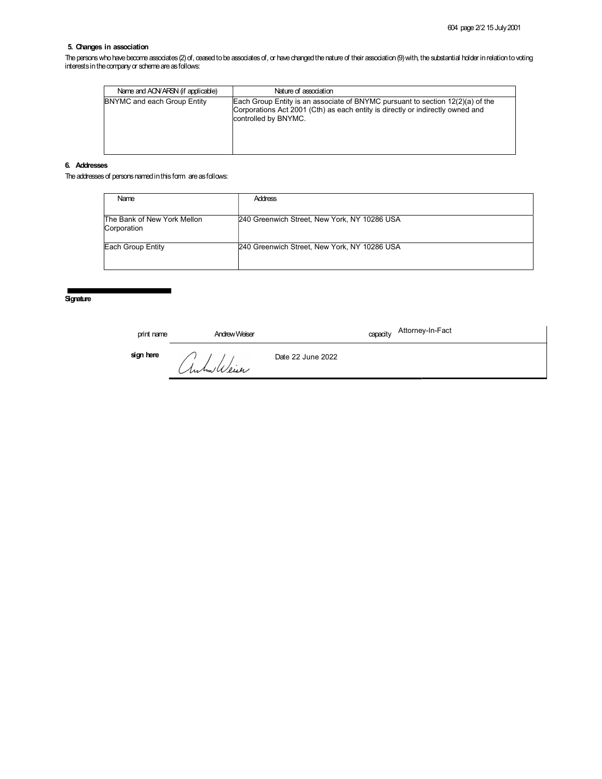### 5. Changes in association

The persons who have become associates (2) of, ceased to be associates of, or have changed the nature of their association (9) with, the substantial holder in relation to voting interests in the company or scheme are as follows:

| Name and AQVARSN (if applicable) | Nature of association                                                                                                                                                                      |
|----------------------------------|--------------------------------------------------------------------------------------------------------------------------------------------------------------------------------------------|
| BNYMC and each Group Entity      | Each Group Entity is an associate of BNYMC pursuant to section $12(2)(a)$ of the<br>Corporations Act 2001 (Cth) as each entity is directly or indirectly owned and<br>controlled by BNYMC. |

### 6. Addresses

The addresses of persons named in this form are as follows:

| Name                                       | <b>Address</b>                               |
|--------------------------------------------|----------------------------------------------|
| The Bank of New York Mellon<br>Corporation | 240 Greenwich Street, New York, NY 10286 USA |
| Each Group Entity                          | 240 Greenwich Street, New York, NY 10286 USA |

**Signature** 

| print name | Andrew Weiser | Attorney-In-Fact<br>capacity |
|------------|---------------|------------------------------|
| sign here  | Anhuilleur    | Date 22 June 2022            |
|            |               |                              |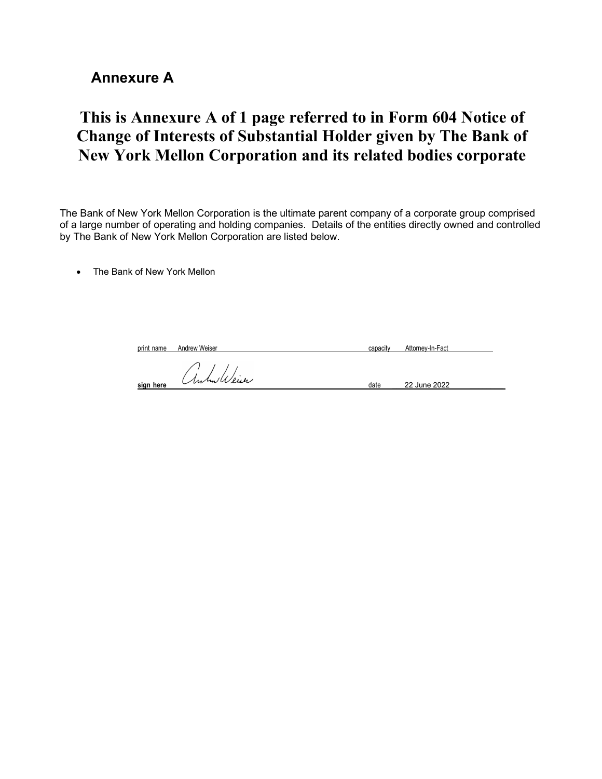## Annexure A

# This is Annexure A of 1 page referred to in Form 604 Notice of Change of Interests of Substantial Holder given by The Bank of New York Mellon Corporation and its related bodies corporate

The Bank of New York Mellon Corporation is the ultimate parent company of a corporate group comprised of a large number of operating and holding companies. Details of the entities directly owned and controlled by The Bank of New York Mellon Corporation are listed below.

The Bank of New York Mellon

| print name | Andrew Weiser | Attorney-In-Fact<br>capacity |
|------------|---------------|------------------------------|
| sign here  | Anhallein     | 22 June 2022<br>date         |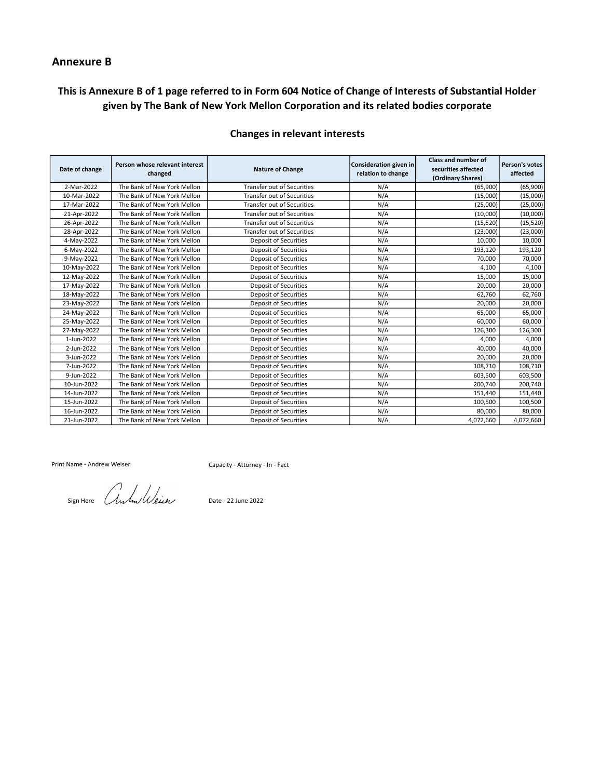### Annexure B

## This is Annexure B of 1 page referred to in Form 604 Notice of Change of Interests of Substantial Holder given by The Bank of New York Mellon Corporation and its related bodies corporate

| Date of change | Person whose relevant interest<br>changed | <b>Nature of Change</b>           | Consideration given in<br>relation to change | <b>Class and number of</b><br>securities affected<br>(Ordinary Shares) | Person's votes<br>affected |
|----------------|-------------------------------------------|-----------------------------------|----------------------------------------------|------------------------------------------------------------------------|----------------------------|
| 2-Mar-2022     | The Bank of New York Mellon               | <b>Transfer out of Securities</b> | N/A                                          | (65,900)                                                               | (65,900)                   |
| 10-Mar-2022    | The Bank of New York Mellon               | <b>Transfer out of Securities</b> | N/A                                          | (15,000)                                                               | (15,000)                   |
| 17-Mar-2022    | The Bank of New York Mellon               | <b>Transfer out of Securities</b> | N/A                                          | (25,000)                                                               | (25,000)                   |
| 21-Apr-2022    | The Bank of New York Mellon               | <b>Transfer out of Securities</b> | N/A                                          | (10,000)                                                               | (10,000)                   |
| 26-Apr-2022    | The Bank of New York Mellon               | <b>Transfer out of Securities</b> | N/A                                          | (15, 520)                                                              | (15, 520)                  |
| 28-Apr-2022    | The Bank of New York Mellon               | <b>Transfer out of Securities</b> | N/A                                          | (23,000)                                                               | (23,000)                   |
| 4-May-2022     | The Bank of New York Mellon               | <b>Deposit of Securities</b>      | N/A                                          | 10,000                                                                 | 10,000                     |
| 6-May-2022     | The Bank of New York Mellon               | <b>Deposit of Securities</b>      | N/A                                          | 193,120                                                                | 193,120                    |
| 9-May-2022     | The Bank of New York Mellon               | <b>Deposit of Securities</b>      | N/A                                          | 70,000                                                                 | 70,000                     |
| 10-May-2022    | The Bank of New York Mellon               | <b>Deposit of Securities</b>      | N/A                                          | 4,100                                                                  | 4,100                      |
| 12-May-2022    | The Bank of New York Mellon               | <b>Deposit of Securities</b>      | N/A                                          | 15,000                                                                 | 15,000                     |
| 17-May-2022    | The Bank of New York Mellon               | <b>Deposit of Securities</b>      | N/A                                          | 20,000                                                                 | 20,000                     |
| 18-May-2022    | The Bank of New York Mellon               | <b>Deposit of Securities</b>      | N/A                                          | 62,760                                                                 | 62,760                     |
| 23-May-2022    | The Bank of New York Mellon               | <b>Deposit of Securities</b>      | N/A                                          | 20.000                                                                 | 20,000                     |
| 24-May-2022    | The Bank of New York Mellon               | <b>Deposit of Securities</b>      | N/A                                          | 65,000                                                                 | 65,000                     |
| 25-May-2022    | The Bank of New York Mellon               | <b>Deposit of Securities</b>      | N/A                                          | 60.000                                                                 | 60,000                     |
| 27-May-2022    | The Bank of New York Mellon               | <b>Deposit of Securities</b>      | N/A                                          | 126,300                                                                | 126,300                    |
| 1-Jun-2022     | The Bank of New York Mellon               | <b>Deposit of Securities</b>      | N/A                                          | 4.000                                                                  | 4,000                      |
| 2-Jun-2022     | The Bank of New York Mellon               | <b>Deposit of Securities</b>      | N/A                                          | 40.000                                                                 | 40,000                     |
| 3-Jun-2022     | The Bank of New York Mellon               | <b>Deposit of Securities</b>      | N/A                                          | 20,000                                                                 | 20,000                     |
| 7-Jun-2022     | The Bank of New York Mellon               | Deposit of Securities             | N/A                                          | 108,710                                                                | 108,710                    |
| 9-Jun-2022     | The Bank of New York Mellon               | <b>Deposit of Securities</b>      | N/A                                          | 603,500                                                                | 603,500                    |
| 10-Jun-2022    | The Bank of New York Mellon               | <b>Deposit of Securities</b>      | N/A                                          | 200,740                                                                | 200,740                    |
| 14-Jun-2022    | The Bank of New York Mellon               | <b>Deposit of Securities</b>      | N/A                                          | 151,440                                                                | 151,440                    |
| 15-Jun-2022    | The Bank of New York Mellon               | <b>Deposit of Securities</b>      | N/A                                          | 100,500                                                                | 100,500                    |
| 16-Jun-2022    | The Bank of New York Mellon               | <b>Deposit of Securities</b>      | N/A                                          | 80,000                                                                 | 80,000                     |
| 21-Jun-2022    | The Bank of New York Mellon               | <b>Deposit of Securities</b>      | N/A                                          | 4,072,660                                                              | 4,072,660                  |

### Changes in relevant interests

Print Name - Andrew Weiser

Sign Here *AwkwWeiser* Date - 22 June 2022

Capacity - Attorney - In - Fact